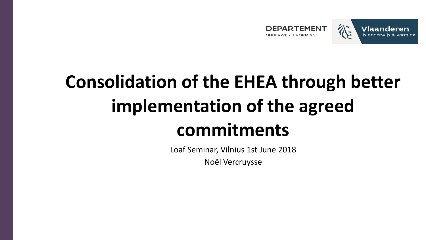



# **Consolidation of the EHEA through better implementation of the agreed commitments**

Loaf Seminar, Vilnius 1st June 2018 Noël Vercruysse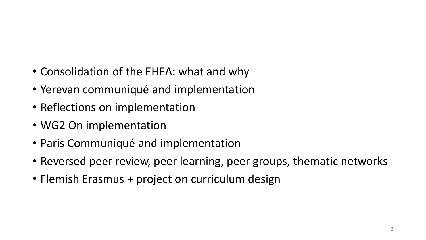- Consolidation of the EHEA: what and why
- Yerevan communiqué and implementation
- Reflections on implementation
- WG2 On implementation
- Paris Communiqué and implementation
- Reversed peer review, peer learning, peer groups, thematic networks
- Flemish Erasmus + project on curriculum design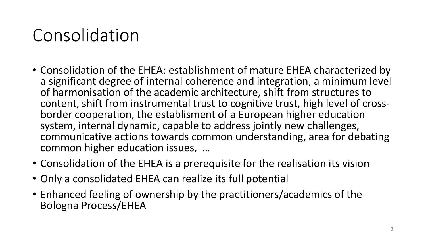### Consolidation

- Consolidation of the EHEA: establishment of mature EHEA characterized by a significant degree of internal coherence and integration, a minimum level of harmonisation of the academic architecture, shift from structures to content, shift from instrumental trust to cognitive trust, high level of crossborder cooperation, the establisment of a European higher education system, internal dynamic, capable to address jointly new challenges, communicative actions towards common understanding, area for debating common higher education issues, …
- Consolidation of the EHEA is a prerequisite for the realisation its vision
- Only a consolidated EHEA can realize its full potential
- Enhanced feeling of ownership by the practitioners/academics of the Bologna Process/EHEA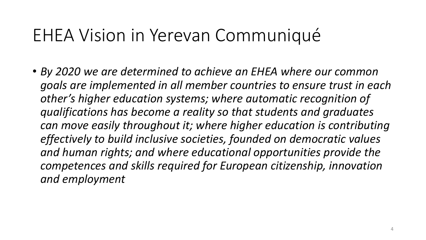#### EHEA Vision in Yerevan Communiqué

• *By 2020 we are determined to achieve an EHEA where our common goals are implemented in all member countries to ensure trust in each other's higher education systems; where automatic recognition of qualifications has become a reality so that students and graduates can move easily throughout it; where higher education is contributing effectively to build inclusive societies, founded on democratic values and human rights; and where educational opportunities provide the competences and skills required for European citizenship, innovation and employment*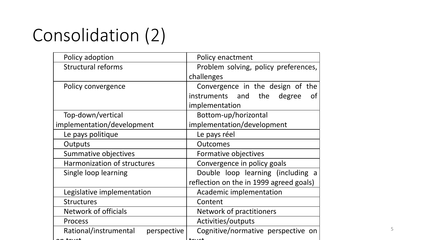# Consolidation (2)

| Policy adoption                      | Policy enactment                        |  |
|--------------------------------------|-----------------------------------------|--|
| <b>Structural reforms</b>            | Problem solving, policy preferences,    |  |
|                                      | challenges                              |  |
| Policy convergence                   | Convergence in the design of the        |  |
|                                      | instruments and the degree<br><b>of</b> |  |
|                                      | implementation                          |  |
| Top-down/vertical                    | Bottom-up/horizontal                    |  |
| implementation/development           | implementation/development              |  |
| Le pays politique                    | Le pays réel                            |  |
| Outputs                              | <b>Outcomes</b>                         |  |
| Summative objectives                 | Formative objectives                    |  |
| Harmonization of structures          | Convergence in policy goals             |  |
| Single loop learning                 | Double loop learning (including a       |  |
|                                      | reflection on the in 1999 agreed goals) |  |
| Legislative implementation           | Academic implementation                 |  |
| <b>Structures</b>                    | Content                                 |  |
| Network of officials                 | Network of practitioners                |  |
| Process                              | Activities/outputs                      |  |
| Rational/instrumental<br>perspective | Cognitive/normative perspective on      |  |
|                                      |                                         |  |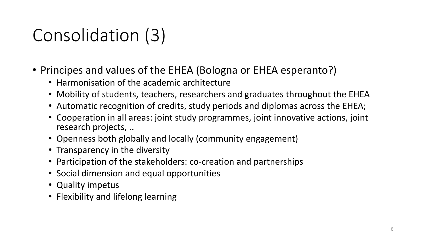# Consolidation (3)

- Principes and values of the EHEA (Bologna or EHEA esperanto?)
	- Harmonisation of the academic architecture
	- Mobility of students, teachers, researchers and graduates throughout the EHEA
	- Automatic recognition of credits, study periods and diplomas across the EHEA;
	- Cooperation in all areas: joint study programmes, joint innovative actions, joint research projects, ..
	- Openness both globally and locally (community engagement)
	- Transparency in the diversity
	- Participation of the stakeholders: co-creation and partnerships
	- Social dimension and equal opportunities
	- Quality impetus
	- Flexibility and lifelong learning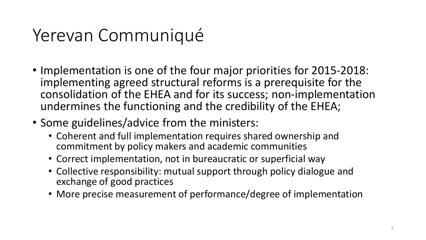### Yerevan Communiqué

- Implementation is one of the four major priorities for 2015-2018: implementing agreed structural reforms is a prerequisite for the consolidation of the EHEA and for its success; non-implementation undermines the functioning and the credibility of the EHEA;
- Some guidelines/advice from the ministers:
	- Coherent and full implementation requires shared ownership and commitment by policy makers and academic communities
	- Correct implementation, not in bureaucratic or superficial way
	- Collective responsibility: mutual support through policy dialogue and exchange of good practices
	- More precise measurement of performance/degree of implementation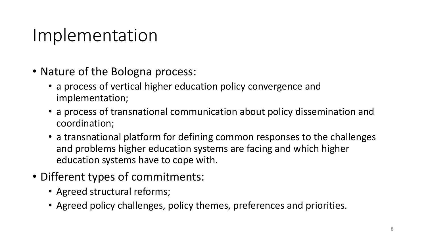#### Implementation

- Nature of the Bologna process:
	- a process of vertical higher education policy convergence and implementation;
	- a process of transnational communication about policy dissemination and coordination;
	- a transnational platform for defining common responses to the challenges and problems higher education systems are facing and which higher education systems have to cope with.
- Different types of commitments:
	- Agreed structural reforms;
	- Agreed policy challenges, policy themes, preferences and priorities.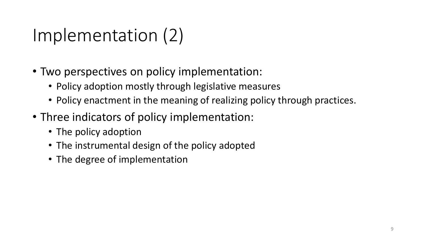### Implementation (2)

- Two perspectives on policy implementation:
	- Policy adoption mostly through legislative measures
	- Policy enactment in the meaning of realizing policy through practices.
- Three indicators of policy implementation:
	- The policy adoption
	- The instrumental design of the policy adopted
	- The degree of implementation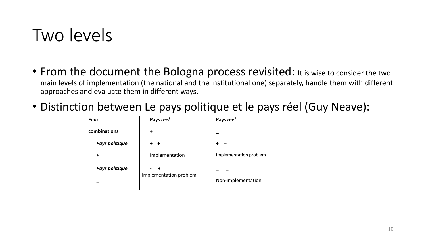#### Two levels

- From the document the Bologna process revisited: It is wise to consider the two main levels of implementation (the national and the institutional one) separately, handle them with different approaches and evaluate them in different ways.
- Distinction between Le pays politique et le pays réel (Guy Neave):

| Four           | Pays reel              | Pays reel              |
|----------------|------------------------|------------------------|
| combinations   | ٠                      |                        |
| Pays politique |                        |                        |
| $\ddot{}$      | Implementation         | Implementation problem |
| Pays politique | Implementation problem | Non-implementation     |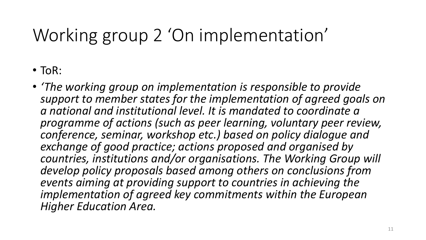# Working group 2 'On implementation'

- ToR:
- *'The working group on implementation is responsible to provide support to member states for the implementation of agreed goals on a national and institutional level. It is mandated to coordinate a programme of actions (such as peer learning, voluntary peer review, conference, seminar, workshop etc.) based on policy dialogue and exchange of good practice; actions proposed and organised by countries, institutions and/or organisations. The Working Group will develop policy proposals based among others on conclusions from events aiming at providing support to countries in achieving the implementation of agreed key commitments within the European Higher Education Area.*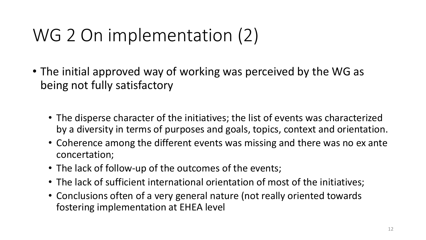### WG 2 On implementation (2)

- The initial approved way of working was perceived by the WG as being not fully satisfactory
	- The disperse character of the initiatives; the list of events was characterized by a diversity in terms of purposes and goals, topics, context and orientation.
	- Coherence among the different events was missing and there was no ex ante concertation;
	- The lack of follow-up of the outcomes of the events;
	- The lack of sufficient international orientation of most of the initiatives;
	- Conclusions often of a very general nature (not really oriented towards fostering implementation at EHEA level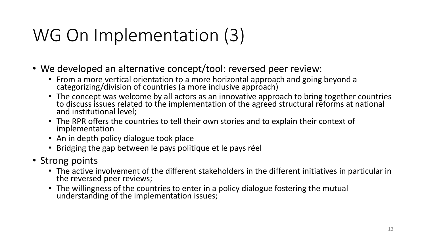# WG On Implementation (3)

- We developed an alternative concept/tool: reversed peer review:
	- From a more vertical orientation to a more horizontal approach and going beyond a categorizing/division of countries (a more inclusive approach)
	- The concept was welcome by all actors as an innovative approach to bring together countries to discuss issues related to the implementation of the agreed structural reforms at national and institutional level;
	- The RPR offers the countries to tell their own stories and to explain their context of implementation
	- An in depth policy dialogue took place
	- Bridging the gap between le pays politique et le pays réel
- Strong points
	- The active involvement of the different stakeholders in the different initiatives in particular in the reversed peer reviews;
	- The willingness of the countries to enter in a policy dialogue fostering the mutual understanding of the implementation issues;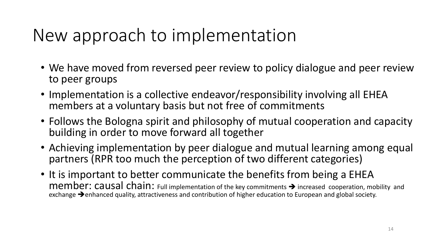#### New approach to implementation

- We have moved from reversed peer review to policy dialogue and peer review to peer groups
- Implementation is a collective endeavor/responsibility involving all EHEA members at a voluntary basis but not free of commitments
- Follows the Bologna spirit and philosophy of mutual cooperation and capacity building in order to move forward all together
- Achieving implementation by peer dialogue and mutual learning among equal partners (RPR too much the perception of two different categories)
- It is important to better communicate the benefits from being a EHEA  $member: causal chain:$  Full implementation of the key commitments  $\rightarrow$  increased cooperation, mobility and exchange  $\rightarrow$  enhanced quality, attractiveness and contribution of higher education to European and global society.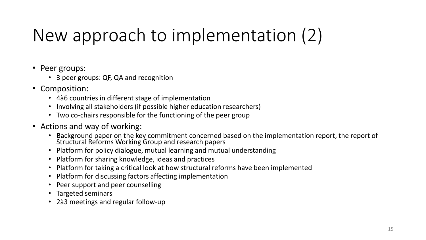# New approach to implementation (2)

- Peer groups:
	- 3 peer groups: QF, QA and recognition
- Composition:
	- 4à6 countries in different stage of implementation
	- Involving all stakeholders (if possible higher education researchers)
	- Two co-chairs responsible for the functioning of the peer group
- Actions and way of working:
	- Background paper on the key commitment concerned based on the implementation report, the report of Structural Reforms Working Group and research papers
	- Platform for policy dialogue, mutual learning and mutual understanding
	- Platform for sharing knowledge, ideas and practices
	- Platform for taking a critical look at how structural reforms have been implemented
	- Platform for discussing factors affecting implementation
	- Peer support and peer counselling
	- Targeted seminars
	- 2à3 meetings and regular follow-up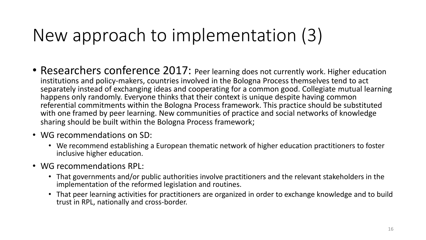### New approach to implementation (3)

- Researchers conference 2017: Peer learning does not currently work. Higher education institutions and policy-makers, countries involved in the Bologna Process themselves tend to act separately instead of exchanging ideas and cooperating for a common good. Collegiate mutual learning happens only randomly. Everyone thinks that their context is unique despite having common referential commitments within the Bologna Process framework. This practice should be substituted with one framed by peer learning. New communities of practice and social networks of knowledge sharing should be built within the Bologna Process framework;
- WG recommendations on SD:
	- We recommend establishing a European thematic network of higher education practitioners to foster inclusive higher education.
- WG recommendations RPL:
	- That governments and/or public authorities involve practitioners and the relevant stakeholders in the implementation of the reformed legislation and routines.
	- That peer learning activities for practitioners are organized in order to exchange knowledge and to build trust in RPL, nationally and cross-border.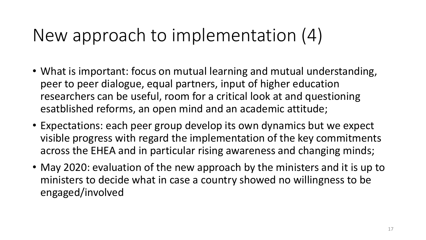### New approach to implementation (4)

- What is important: focus on mutual learning and mutual understanding, peer to peer dialogue, equal partners, input of higher education researchers can be useful, room for a critical look at and questioning esatblished reforms, an open mind and an academic attitude;
- Expectations: each peer group develop its own dynamics but we expect visible progress with regard the implementation of the key commitments across the EHEA and in particular rising awareness and changing minds;
- May 2020: evaluation of the new approach by the ministers and it is up to ministers to decide what in case a country showed no willingness to be engaged/involved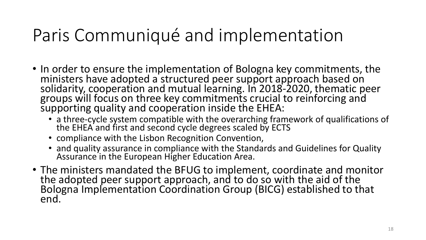#### Paris Communiqué and implementation

- In order to ensure the implementation of Bologna key commitments, the ministers have adopted a structured peer support approach based on solidarity, cooperation and mutual learning. In 2018-2020, thematic peer groups will focus on three key commitments crucial to reinforcing and supporting quality and cooperation inside the EHEA:
	- a three-cycle system compatible with the overarching framework of qualifications of the EHEA and first and second cycle degrees scaled by ECTS
	- compliance with the Lisbon Recognition Convention,
	- and quality assurance in compliance with the Standards and Guidelines for Quality Assurance in the European Higher Education Area.
- The ministers mandated the BFUG to implement, coordinate and monitor the adopted peer support approach, and to do so with the aid of the Bologna Implementation Coordination Group (BICG) established to that end.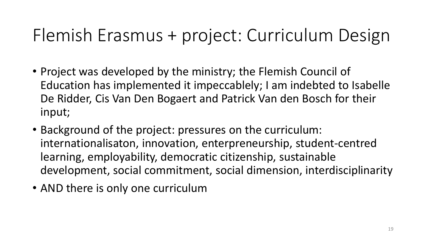- Project was developed by the ministry; the Flemish Council of Education has implemented it impeccablely; I am indebted to Isabelle De Ridder, Cis Van Den Bogaert and Patrick Van den Bosch for their input;
- Background of the project: pressures on the curriculum: internationalisaton, innovation, enterpreneurship, student-centred learning, employability, democratic citizenship, sustainable development, social commitment, social dimension, interdisciplinarity
- AND there is only one curriculum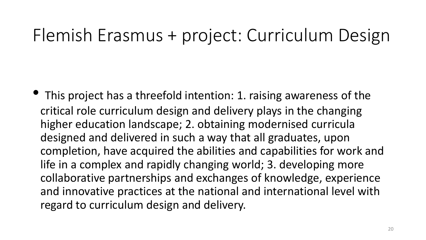• This project has a threefold intention: 1. raising awareness of the critical role curriculum design and delivery plays in the changing higher education landscape; 2. obtaining modernised curricula designed and delivered in such a way that all graduates, upon completion, have acquired the abilities and capabilities for work and life in a complex and rapidly changing world; 3. developing more collaborative partnerships and exchanges of knowledge, experience and innovative practices at the national and international level with regard to curriculum design and delivery.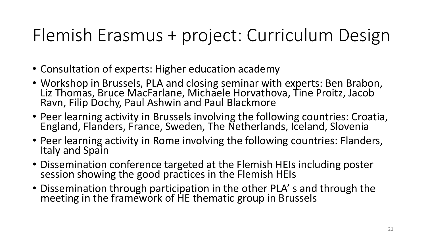- Consultation of experts: Higher education academy
- Workshop in Brussels, PLA and closing seminar with experts: Ben Brabon, Liz Thomas, Bruce MacFarlane, Michaele Horvathova, Tine Proitz, Jacob Ravn, Filip Dochy, Paul Ashwin and Paul Blackmore
- Peer learning activity in Brussels involving the following countries: Croatia, England, Flanders, France, Sweden, The Netherlands, Iceland, Slovenia
- Peer learning activity in Rome involving the following countries: Flanders, Italy and Spain
- Dissemination conference targeted at the Flemish HEIs including poster session showing the good practices in the Flemish HEIs
- Dissemination through participation in the other PLA' s and through the meeting in the framework of HE thematic group in Brussels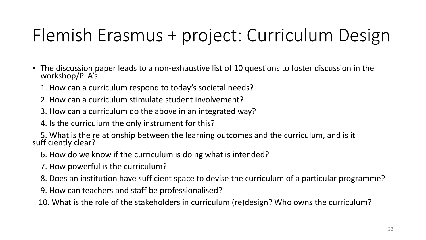- The discussion paper leads to a non-exhaustive list of 10 questions to foster discussion in the workshop/PLA's:
	- 1. How can a curriculum respond to today's societal needs?
	- 2. How can a curriculum stimulate student involvement?
	- 3. How can a curriculum do the above in an integrated way?

4. Is the curriculum the only instrument for this?

 5. What is the relationship between the learning outcomes and the curriculum, and is it sufficiently clear?

- 6. How do we know if the curriculum is doing what is intended?
- 7. How powerful is the curriculum?
- 8. Does an institution have sufficient space to devise the curriculum of a particular programme?
- 9. How can teachers and staff be professionalised?

10. What is the role of the stakeholders in curriculum (re)design? Who owns the curriculum?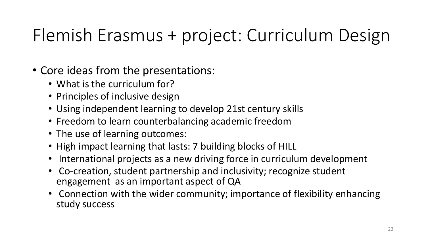- Core ideas from the presentations:
	- What is the curriculum for?
	- Principles of inclusive design
	- Using independent learning to develop 21st century skills
	- Freedom to learn counterbalancing academic freedom
	- The use of learning outcomes:
	- High impact learning that lasts: 7 building blocks of HILL
	- International projects as a new driving force in curriculum development
	- Co-creation, student partnership and inclusivity; recognize student engagement as an important aspect of QA
	- Connection with the wider community; importance of flexibility enhancing study success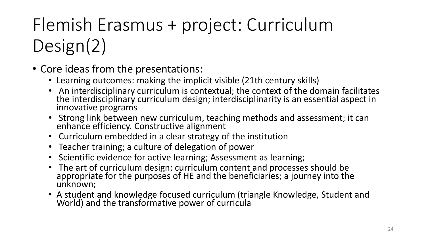- Core ideas from the presentations:
	- Learning outcomes: making the implicit visible (21th century skills)
	- An interdisciplinary curriculum is contextual; the context of the domain facilitates the interdisciplinary curriculum design; interdisciplinarity is an essential aspect in innovative programs
	- Strong link between new curriculum, teaching methods and assessment; it can enhance efficiency. Constructive alignment
	- Curriculum embedded in a clear strategy of the institution
	- Teacher training; a culture of delegation of power
	- Scientific evidence for active learning; Assessment as learning;
	- The art of curriculum design: curriculum content and processes should be appropriate for the purposes of HE and the beneficiaries; a journey into the unknown;
	- A student and knowledge focused curriculum (triangle Knowledge, Student and World) and the transformative power of curricula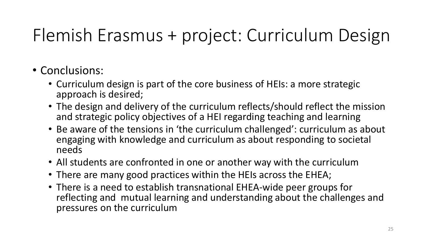- Conclusions:
	- Curriculum design is part of the core business of HEIs: a more strategic approach is desired;
	- The design and delivery of the curriculum reflects/should reflect the mission and strategic policy objectives of a HEI regarding teaching and learning
	- Be aware of the tensions in 'the curriculum challenged': curriculum as about engaging with knowledge and curriculum as about responding to societal needs
	- All students are confronted in one or another way with the curriculum
	- There are many good practices within the HEIs across the EHEA;
	- There is a need to establish transnational EHEA-wide peer groups for reflecting and mutual learning and understanding about the challenges and pressures on the curriculum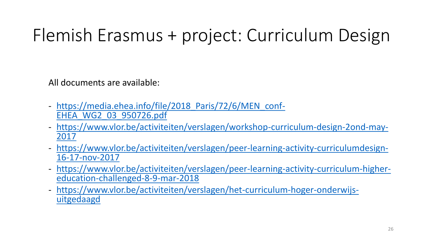All documents are available:

- https://media.ehea.info/file/2018 Paris/72/6/MEN conf-[EHEA\\_WG2\\_03\\_950726.pdf](https://www.vlor.be/activiteiten/verslagen/workshop-curriculum-design-2ond-may-2017)
- [https://www.vlor.be/activiteiten/verslagen/workshop-curriculum-design-2ond-may-](https://www.vlor.be/activiteiten/verslagen/workshop-curriculum-design-2ond-may-2017)[2017](https://www.vlor.be/activiteiten/verslagen/workshop-curriculum-design-2ond-may-2017)
- [https://www.vlor.be/activiteiten/verslagen/peer-learning-activity-curriculumdesign-](https://www.vlor.be/activiteiten/verslagen/peer-learning-activity-curriculumdesign-16-17-nov-2017)[16-17-nov-2017](https://www.vlor.be/activiteiten/verslagen/peer-learning-activity-curriculumdesign-16-17-nov-2017)
- [https://www.vlor.be/activiteiten/verslagen/peer-learning-activity-curriculum-higher](https://www.vlor.be/activiteiten/verslagen/peer-learning-activity-curriculum-higher-education-challenged-8-9-mar-2018)[education-challenged-8-9-mar-2018](https://www.vlor.be/activiteiten/verslagen/peer-learning-activity-curriculum-higher-education-challenged-8-9-mar-2018)
- [https://www.vlor.be/activiteiten/verslagen/het-curriculum-hoger-onderwijs](https://www.vlor.be/activiteiten/verslagen/het-curriculum-hoger-onderwijs-uitgedaagd)[uitgedaagd](https://www.vlor.be/activiteiten/verslagen/het-curriculum-hoger-onderwijs-uitgedaagd)